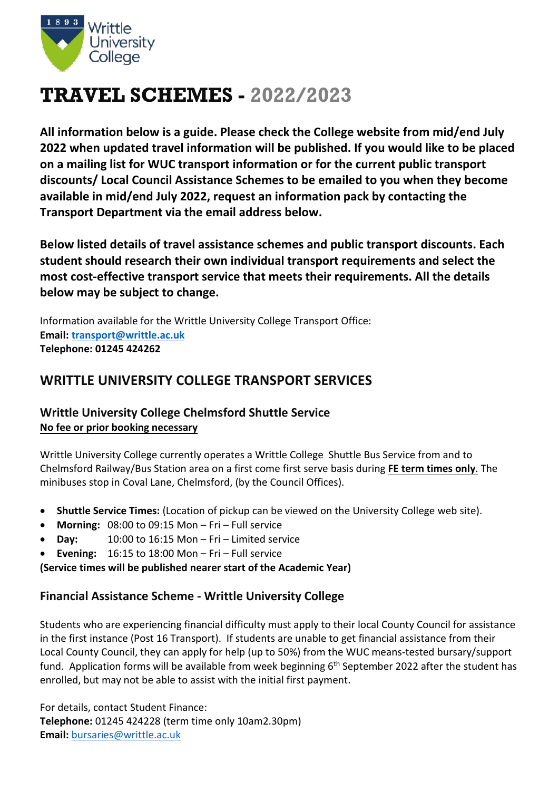

# **TRAVEL SCHEMES - 2022/2023**

**All information below is a guide. Please check the College website from mid/end July 2022 when updated travel information will be published. If you would like to be placed on a mailing list for WUC transport information or for the current public transport discounts/ Local Council Assistance Schemes to be emailed to you when they become available in mid/end July 2022, request an information pack by contacting the Transport Department via the email address below.** 

**Below listed details of travel assistance schemes and public transport discounts. Each student should research their own individual transport requirements and select the most cost-effective transport service that meets their requirements. All the details below may be subject to change.** 

Information available for the Writtle University College Transport Office: **Email: [transport@writtle.ac.uk](mailto:transport@writtle.ac.uk) Telephone: 01245 424262**

# **WRITTLE UNIVERSITY COLLEGE TRANSPORT SERVICES**

## **Writtle University College Chelmsford Shuttle Service No fee or prior booking necessary**

Writtle University College currently operates a Writtle College Shuttle Bus Service from and to Chelmsford Railway/Bus Station area on a first come first serve basis during **FE term times only**. The minibuses stop in Coval Lane, Chelmsford, (by the Council Offices).

- **Shuttle Service Times:** (Location of pickup can be viewed on the University College web site).
- **Morning:** 08:00 to 09:15 Mon Fri Full service
- **Day:** 10:00 to 16:15 Mon Fri Limited service
- **Evening:** 16:15 to 18:00 Mon Fri Full service

**(Service times will be published nearer start of the Academic Year)**

## **Financial Assistance Scheme - Writtle University College**

Students who are experiencing financial difficulty must apply to their local County Council for assistance in the first instance (Post 16 Transport). If students are unable to get financial assistance from their Local County Council, they can apply for help (up to 50%) from the WUC means-tested bursary/support fund. Application forms will be available from week beginning 6<sup>th</sup> September 2022 after the student has enrolled, but may not be able to assist with the initial first payment.

For details, contact Student Finance: **Telephone:** 01245 424228 (term time only 10am2.30pm) **Email:** [bursaries@writtle.ac.uk](mailto:bursaries@writtle.ac.uk)